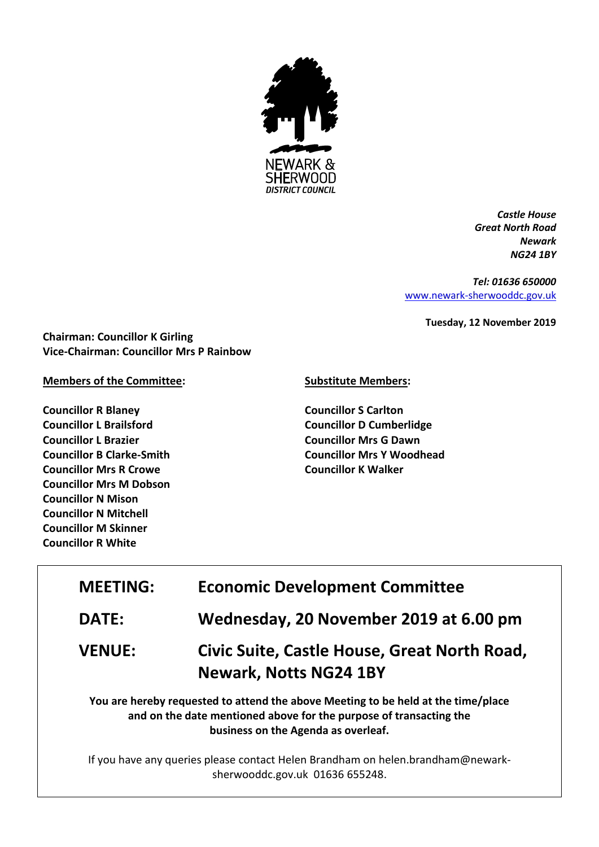

*Castle House Great North Road Newark NG24 1BY*

*Tel: 01636 650000* [www.newark-sherwooddc.gov.uk](http://www.newark-sherwooddc.gov.uk/)

**Tuesday, 12 November 2019**

**Chairman: Councillor K Girling Vice-Chairman: Councillor Mrs P Rainbow**

**Members of the Committee:**

**Councillor R Blaney Councillor L Brailsford Councillor L Brazier Councillor B Clarke-Smith Councillor Mrs R Crowe Councillor Mrs M Dobson Councillor N Mison Councillor N Mitchell Councillor M Skinner Councillor R White**

## **Substitute Members:**

**Councillor S Carlton Councillor D Cumberlidge Councillor Mrs G Dawn Councillor Mrs Y Woodhead Councillor K Walker**

| <b>MEETING:</b> | <b>Economic Development Committee</b>                                                                                                                                                          |  |
|-----------------|------------------------------------------------------------------------------------------------------------------------------------------------------------------------------------------------|--|
| <b>DATE:</b>    | Wednesday, 20 November 2019 at 6.00 pm                                                                                                                                                         |  |
| <b>VENUE:</b>   | Civic Suite, Castle House, Great North Road,<br><b>Newark, Notts NG24 1BY</b>                                                                                                                  |  |
|                 | You are hereby requested to attend the above Meeting to be held at the time/place<br>and on the date mentioned above for the purpose of transacting the<br>business on the Agenda as overleaf. |  |

If you have any queries please contact Helen Brandham on helen.brandham@newarksherwooddc.gov.uk 01636 655248.